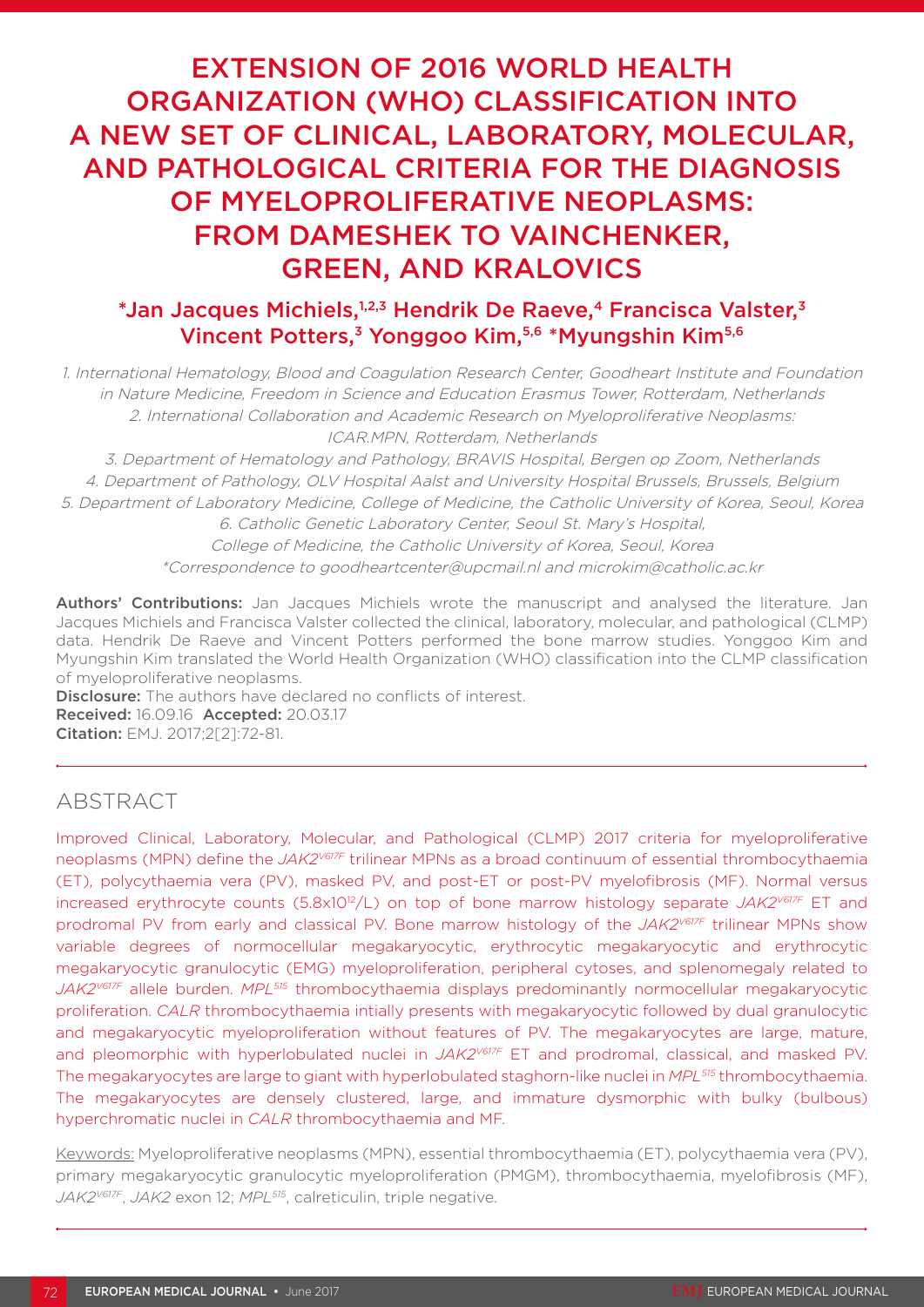# EXTENSION OF 2016 WORLD HEALTH ORGANIZATION (WHO) CLASSIFICATION INTO A NEW SET OF CLINICAL, LABORATORY, MOLECULAR, AND PATHOLOGICAL CRITERIA FOR THE DIAGNOSIS OF MYELOPROLIFERATIVE NEOPLASMS: FROM DAMESHEK TO VAINCHENKER, GREEN, AND KRALOVICS

### $*$ Jan Jacques Michiels,  $1,2,3$  Hendrik De Raeve,  $4$  Francisca Valster,  $3$ Vincent Potters,3 Yonggoo Kim,5,6 \*Myungshin Kim5,6

1. International Hematology, Blood and Coagulation Research Center, Goodheart Institute and Foundation in Nature Medicine, Freedom in Science and Education Erasmus Tower, Rotterdam, Netherlands 2. International Collaboration and Academic Research on Myeloproliferative Neoplasms: ICAR.MPN, Rotterdam, Netherlands

3. Department of Hematology and Pathology, BRAVIS Hospital, Bergen op Zoom, Netherlands

4. Department of Pathology, OLV Hospital Aalst and University Hospital Brussels, Brussels, Belgium 5. Department of Laboratory Medicine, College of Medicine, the Catholic University of Korea, Seoul, Korea

6. Catholic Genetic Laboratory Center, Seoul St. Mary's Hospital, College of Medicine, the Catholic University of Korea, Seoul, Korea \*Correspondence to goodheartcenter@upcmail.nl and microkim@catholic.ac.kr

Authors' Contributions: Jan Jacques Michiels wrote the manuscript and analysed the literature. Jan Jacques Michiels and Francisca Valster collected the clinical, laboratory, molecular, and pathological (CLMP) data. Hendrik De Raeve and Vincent Potters performed the bone marrow studies. Yonggoo Kim and Myungshin Kim translated the World Health Organization (WHO) classification into the CLMP classification of myeloproliferative neoplasms.

**Disclosure:** The authors have declared no conflicts of interest. Received: 16.09.16 Accepted: 20.03.17 Citation: EMJ. 2017;2[2]:72-81.

## ABSTRACT

Improved Clinical, Laboratory, Molecular, and Pathological (CLMP) 2017 criteria for myeloproliferative neoplasms (MPN) define the *JAK2V617F* trilinear MPNs as a broad continuum of essential thrombocythaemia (ET), polycythaemia vera (PV), masked PV, and post-ET or post-PV myelofibrosis (MF). Normal versus increased erythrocyte counts (5.8x10<sup>12</sup>/L) on top of bone marrow histology separate *JAK2<sup>V617F</sup>* ET and prodromal PV from early and classical PV. Bone marrow histology of the *JAK2V617F* trilinear MPNs show variable degrees of normocellular megakaryocytic, erythrocytic megakaryocytic and erythrocytic megakaryocytic granulocytic (EMG) myeloproliferation, peripheral cytoses, and splenomegaly related to *JAK2V617F* allele burden. *MPL515* thrombocythaemia displays predominantly normocellular megakaryocytic proliferation. *CALR* thrombocythaemia intially presents with megakaryocytic followed by dual granulocytic and megakaryocytic myeloproliferation without features of PV. The megakaryocytes are large, mature, and pleomorphic with hyperlobulated nuclei in *JAK2V617F* ET and prodromal, classical, and masked PV. The megakaryocytes are large to giant with hyperlobulated staghorn-like nuclei in *MPL515* thrombocythaemia. The megakaryocytes are densely clustered, large, and immature dysmorphic with bulky (bulbous) hyperchromatic nuclei in *CALR* thrombocythaemia and MF.

Keywords: Myeloproliferative neoplasms (MPN), essential thrombocythaemia (ET), polycythaemia vera (PV), primary megakaryocytic granulocytic myeloproliferation (PMGM), thrombocythaemia, myelofibrosis (MF), *JAK2V617F*, *JAK2* exon 12; *MPL515*, calreticulin, triple negative.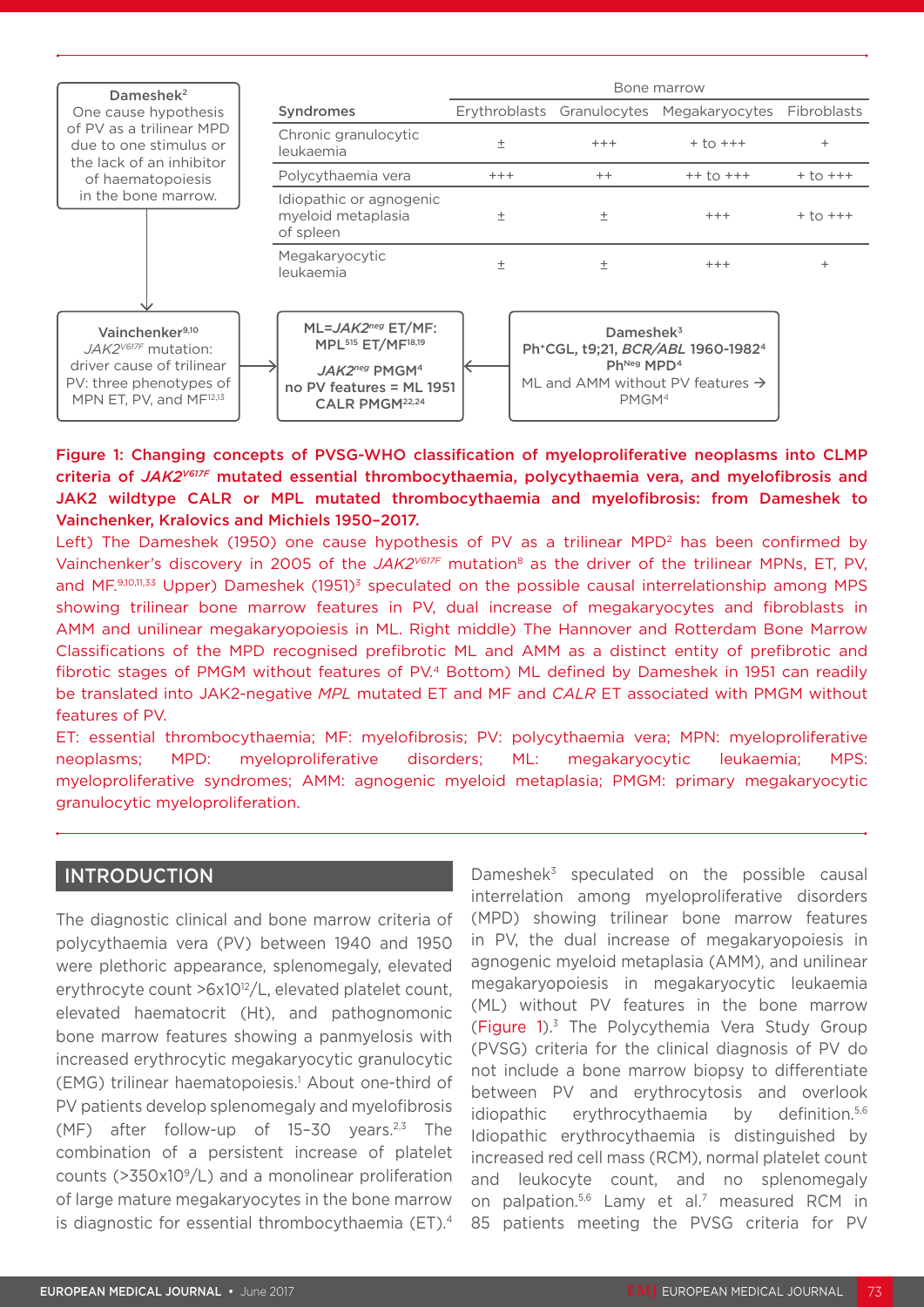

#### Figure 1: Changing concepts of PVSG-WHO classification of myeloproliferative neoplasms into CLMP criteria of *JAK2V617F* mutated essential thrombocythaemia, polycythaemia vera, and myelofibrosis and JAK2 wildtype CALR or MPL mutated thrombocythaemia and myelofibrosis: from Dameshek to Vainchenker, Kralovics and Michiels 1950–2017.

Left) The Dameshek (1950) one cause hypothesis of PV as a trilinear MPD<sup>2</sup> has been confirmed by Vainchenker's discovery in 2005 of the *JAK2<sup>V617F</sup>* mutation<sup>8</sup> as the driver of the trilinear MPNs, ET, PV, and MF.9,10,11,33 Upper) Dameshek (1951)<sup>3</sup> speculated on the possible causal interrelationship among MPS showing trilinear bone marrow features in PV, dual increase of megakaryocytes and fibroblasts in AMM and unilinear megakaryopoiesis in ML. Right middle) The Hannover and Rotterdam Bone Marrow Classifications of the MPD recognised prefibrotic ML and AMM as a distinct entity of prefibrotic and fibrotic stages of PMGM without features of PV.4 Bottom) ML defined by Dameshek in 1951 can readily be translated into JAK2-negative *MPL* mutated ET and MF and *CALR* ET associated with PMGM without features of PV.

ET: essential thrombocythaemia; MF: myelofibrosis; PV: polycythaemia vera; MPN: myeloproliferative neoplasms; MPD: myeloproliferative disorders; ML: megakaryocytic leukaemia; MPS: myeloproliferative syndromes; AMM: agnogenic myeloid metaplasia; PMGM: primary megakaryocytic granulocytic myeloproliferation.

#### INTRODUCTION

The diagnostic clinical and bone marrow criteria of polycythaemia vera (PV) between 1940 and 1950 were plethoric appearance, splenomegaly, elevated erythrocyte count >6x10<sup>12</sup>/L, elevated platelet count, elevated haematocrit (Ht), and pathognomonic bone marrow features showing a panmyelosis with increased erythrocytic megakaryocytic granulocytic (EMG) trilinear haematopoiesis.<sup>1</sup> About one-third of PV patients develop splenomegaly and myelofibrosis (MF) after follow-up of  $15-30$  years.<sup>2,3</sup> The combination of a persistent increase of platelet counts ( $>350x10<sup>9</sup>/L$ ) and a monolinear proliferation of large mature megakaryocytes in the bone marrow is diagnostic for essential thrombocythaemia (ET).4 Dameshek $3$  speculated on the possible causal interrelation among myeloproliferative disorders (MPD) showing trilinear bone marrow features in PV, the dual increase of megakaryopoiesis in agnogenic myeloid metaplasia (AMM), and unilinear megakaryopoiesis in megakaryocytic leukaemia (ML) without PV features in the bone marrow (Figure 1).3 The Polycythemia Vera Study Group (PVSG) criteria for the clinical diagnosis of PV do not include a bone marrow biopsy to differentiate between PV and erythrocytosis and overlook idiopathic erythrocythaemia by definition.<sup>5,6</sup> Idiopathic erythrocythaemia is distinguished by increased red cell mass (RCM), normal platelet count and leukocyte count, and no splenomegaly on palpation.5,6 Lamy et al.7 measured RCM in 85 patients meeting the PVSG criteria for PV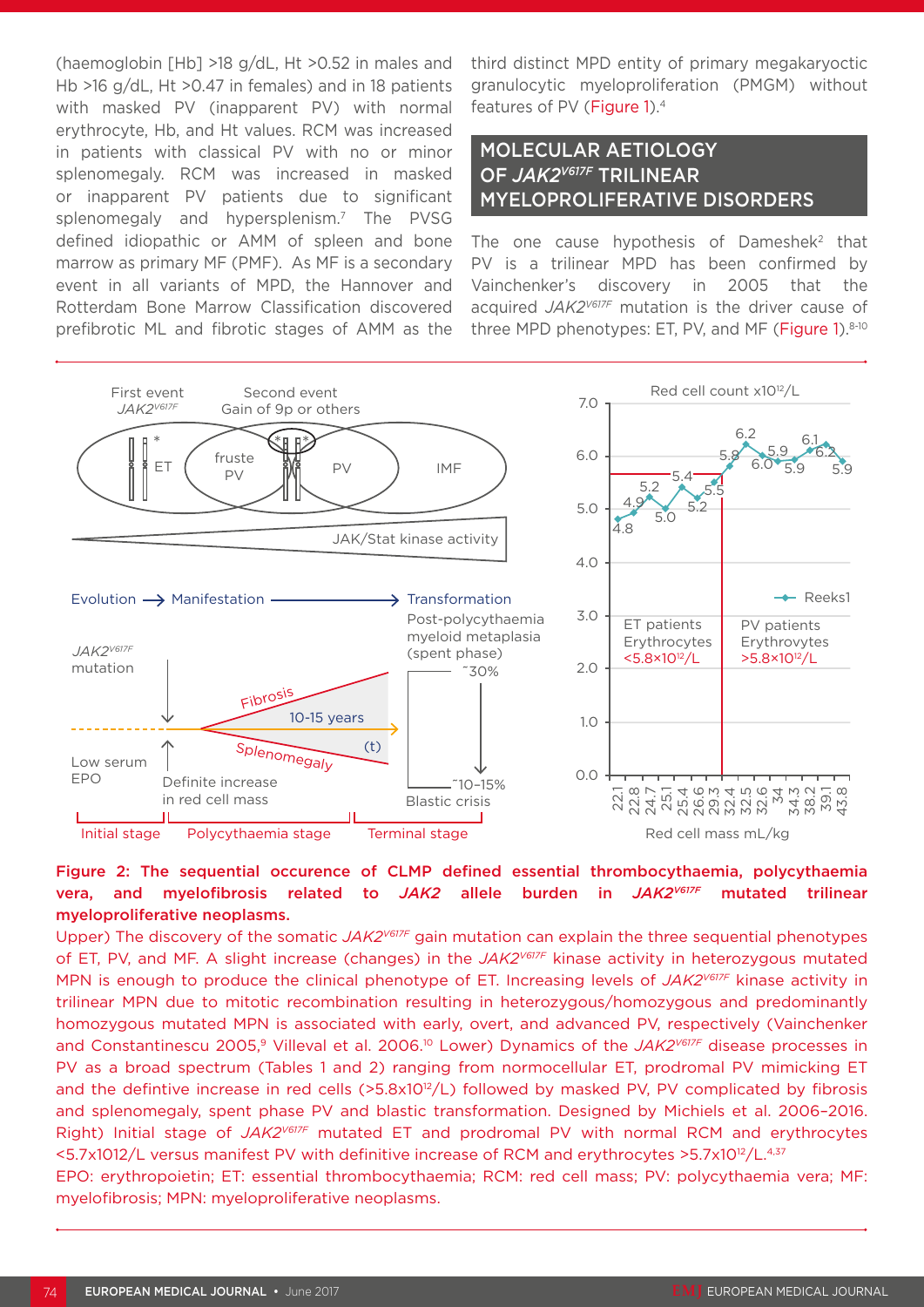(haemoglobin [Hb] >18 g/dL, Ht >0.52 in males and Hb >16 g/dL, Ht >0.47 in females) and in 18 patients with masked PV (inapparent PV) with normal erythrocyte, Hb, and Ht values. RCM was increased in patients with classical PV with no or minor splenomegaly. RCM was increased in masked or inapparent PV patients due to significant splenomegaly and hypersplenism.7 The PVSG defined idiopathic or AMM of spleen and bone marrow as primary MF (PMF). As MF is a secondary event in all variants of MPD, the Hannover and Rotterdam Bone Marrow Classification discovered prefibrotic ML and fibrotic stages of AMM as the

third distinct MPD entity of primary megakaryoctic granulocytic myeloproliferation (PMGM) without features of PV (Figure 1).4

### MOLECULAR AETIOLOGY OF *JAK2V617F* TRILINEAR MYELOPROLIFERATIVE DISORDERS

The one cause hypothesis of Dameshek $2$  that PV is a trilinear MPD has been confirmed by Vainchenker's discovery in 2005 that the acquired *JAK2V617F* mutation is the driver cause of three MPD phenotypes: ET, PV, and MF (Figure 1).8-10



#### Figure 2: The sequential occurence of CLMP defined essential thrombocythaemia, polycythaemia vera, and myelofibrosis related to *JAK2* allele burden in *JAK2V617F* mutated trilinear myeloproliferative neoplasms.

Upper) The discovery of the somatic *JAK2V617F* gain mutation can explain the three sequential phenotypes of ET, PV, and MF. A slight increase (changes) in the *JAK2V617F* kinase activity in heterozygous mutated MPN is enough to produce the clinical phenotype of ET. Increasing levels of *JAK2V617F* kinase activity in trilinear MPN due to mitotic recombination resulting in heterozygous/homozygous and predominantly homozygous mutated MPN is associated with early, overt, and advanced PV, respectively (Vainchenker and Constantinescu 2005,<sup>9</sup> Villeval et al. 2006.<sup>10</sup> Lower) Dynamics of the JAK2<sup>V617F</sup> disease processes in PV as a broad spectrum (Tables 1 and 2) ranging from normocellular ET, prodromal PV mimicking ET and the defintive increase in red cells (>5.8x10<sup>12</sup>/L) followed by masked PV, PV complicated by fibrosis and splenomegaly, spent phase PV and blastic transformation. Designed by Michiels et al. 2006–2016. Right) Initial stage of *JAK2V617F* mutated ET and prodromal PV with normal RCM and erythrocytes <5.7x1012/L versus manifest PV with definitive increase of RCM and erythrocytes >5.7x10<sup>12</sup>/L.<sup>4,37</sup>

EPO: erythropoietin; ET: essential thrombocythaemia; RCM: red cell mass; PV: polycythaemia vera; MF: myelofibrosis; MPN: myeloproliferative neoplasms.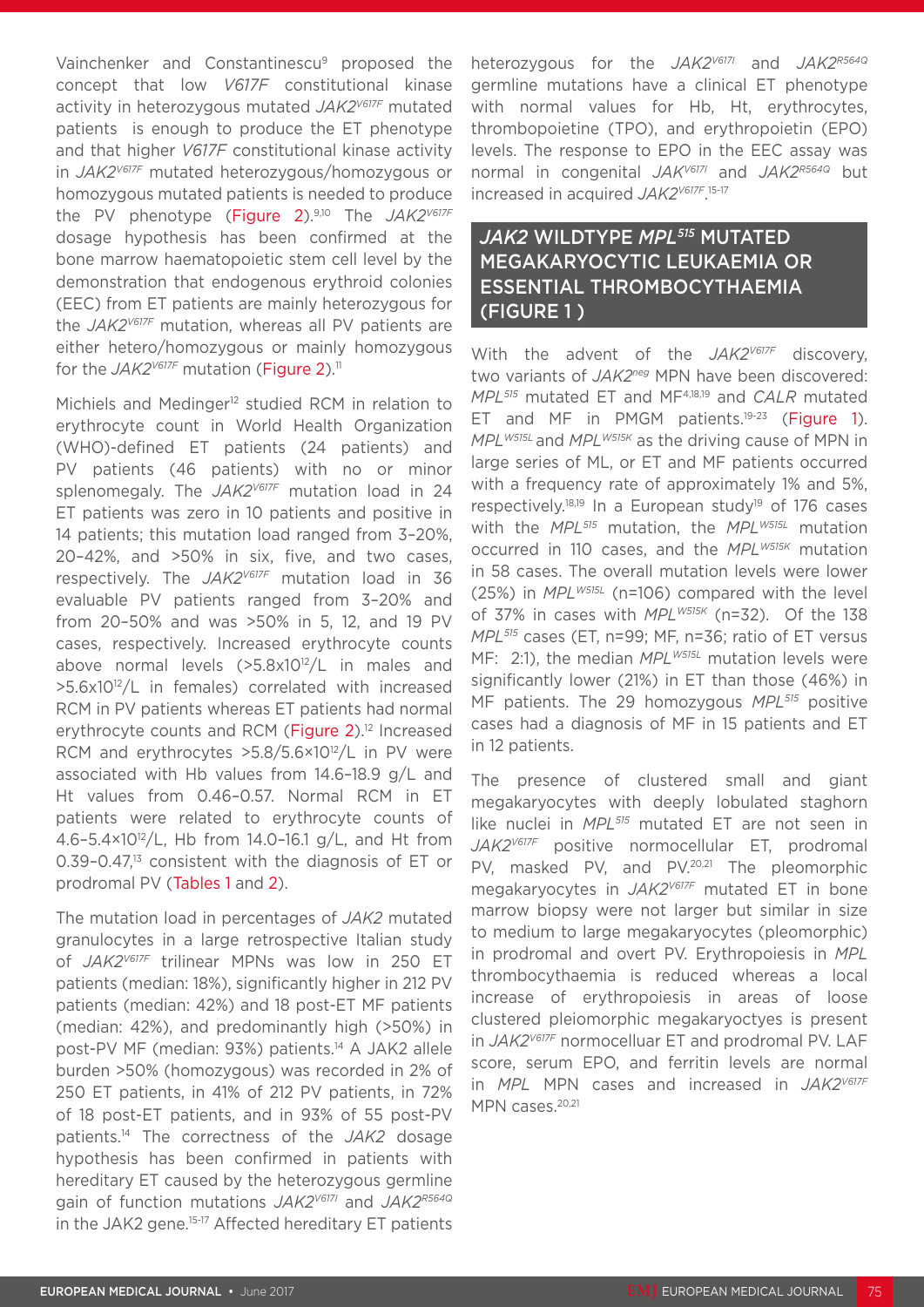Vainchenker and Constantinescu<sup>9</sup> proposed the concept that low *V617F* constitutional kinase activity in heterozygous mutated *JAK2V617F* mutated patients is enough to produce the ET phenotype and that higher *V617F* constitutional kinase activity in *JAK2V617F* mutated heterozygous/homozygous or homozygous mutated patients is needed to produce the PV phenotype (Figure 2).9,10 The *JAK2V617F* dosage hypothesis has been confirmed at the bone marrow haematopoietic stem cell level by the demonstration that endogenous erythroid colonies (EEC) from ET patients are mainly heterozygous for the *JAK2V617F* mutation, whereas all PV patients are either hetero/homozygous or mainly homozygous for the *JAK2<sup>V617F</sup>* mutation (Figure 2).<sup>11</sup>

Michiels and Medinger<sup>12</sup> studied RCM in relation to erythrocyte count in World Health Organization (WHO)-defined ET patients (24 patients) and PV patients (46 patients) with no or minor splenomegaly. The *JAK2V617F* mutation load in 24 ET patients was zero in 10 patients and positive in 14 patients; this mutation load ranged from 3–20%, 20–42%, and >50% in six, five, and two cases, respectively. The *JAK2V617F* mutation load in 36 evaluable PV patients ranged from 3–20% and from 20–50% and was >50% in 5, 12, and 19 PV cases, respectively. Increased erythrocyte counts above normal levels (>5.8x1012/L in males and >5.6x10<sup>12</sup>/L in females) correlated with increased RCM in PV patients whereas ET patients had normal erythrocyte counts and RCM (Figure 2).<sup>12</sup> Increased RCM and erythrocytes  $>5.8/5.6 \times 10^{12}/L$  in PV were associated with Hb values from 14.6–18.9 g/L and Ht values from 0.46–0.57. Normal RCM in ET patients were related to erythrocyte counts of 4.6–5.4×1012/L, Hb from 14.0–16.1 g/L, and Ht from 0.39-0.47.<sup>13</sup> consistent with the diagnosis of ET or prodromal PV (Tables 1 and 2).

The mutation load in percentages of *JAK2* mutated granulocytes in a large retrospective Italian study of *JAK2V617F* trilinear MPNs was low in 250 ET patients (median: 18%), significantly higher in 212 PV patients (median: 42%) and 18 post-ET MF patients (median: 42%), and predominantly high (>50%) in post-PV MF (median: 93%) patients.<sup>14</sup> A JAK2 allele burden >50% (homozygous) was recorded in 2% of 250 ET patients, in 41% of 212 PV patients, in 72% of 18 post-ET patients, and in 93% of 55 post-PV patients.14 The correctness of the *JAK2* dosage hypothesis has been confirmed in patients with hereditary ET caused by the heterozygous germline gain of function mutations *JAK2V617I* and *JAK2R564Q*  in the JAK2 gene.15-17 Affected hereditary ET patients heterozygous for the *JAK2V617I* and *JAK2R564Q* germline mutations have a clinical ET phenotype with normal values for Hb, Ht, erythrocytes, thrombopoietine (TPO), and erythropoietin (EPO) levels. The response to EPO in the EEC assay was normal in congenital *JAKV617I* and *JAK2R564Q* but increased in acquired *JAK2V617F*. 15-17

### *JAK2* WILDTYPE *MPL515* MUTATED MEGAKARYOCYTIC LEUKAEMIA OR ESSENTIAL THROMBOCYTHAEMIA (FIGURE 1 )

With the advent of the *JAK2V617F* discovery, two variants of *JAK2neg* MPN have been discovered: *MPL515* mutated ET and MF4,18,19 and *CALR* mutated ET and MF in PMGM patients.<sup>19-23</sup> (Figure 1). *MPLW515L* and *MPLW515K* as the driving cause of MPN in large series of ML, or ET and MF patients occurred with a frequency rate of approximately 1% and 5%, respectively.18,19 In a European study19 of 176 cases with the *MPL515* mutation, the *MPLW515L* mutation occurred in 110 cases, and the *MPLW515K* mutation in 58 cases. The overall mutation levels were lower (25%) in *MPLW515L* (n=106) compared with the level of 37% in cases with *MPLW515K* (n=32). Of the 138 *MPL515* cases (ET, n=99; MF, n=36; ratio of ET versus MF: 2:1), the median *MPL<sup>W515L</sup>* mutation levels were significantly lower (21%) in ET than those (46%) in MF patients. The 29 homozygous *MPL515* positive cases had a diagnosis of MF in 15 patients and ET in 12 patients.

The presence of clustered small and giant megakaryocytes with deeply lobulated staghorn like nuclei in *MPL515* mutated ET are not seen in *JAK2V617F* positive normocellular ET, prodromal PV, masked PV, and PV.20,21 The pleomorphic megakaryocytes in *JAK2V617F* mutated ET in bone marrow biopsy were not larger but similar in size to medium to large megakaryocytes (pleomorphic) in prodromal and overt PV. Erythropoiesis in *MPL* thrombocythaemia is reduced whereas a local increase of erythropoiesis in areas of loose clustered pleiomorphic megakaryoctyes is present in *JAK2V617F* normocelluar ET and prodromal PV. LAF score, serum EPO, and ferritin levels are normal in *MPL* MPN cases and increased in *JAK2V617F* MPN cases.<sup>20,21</sup>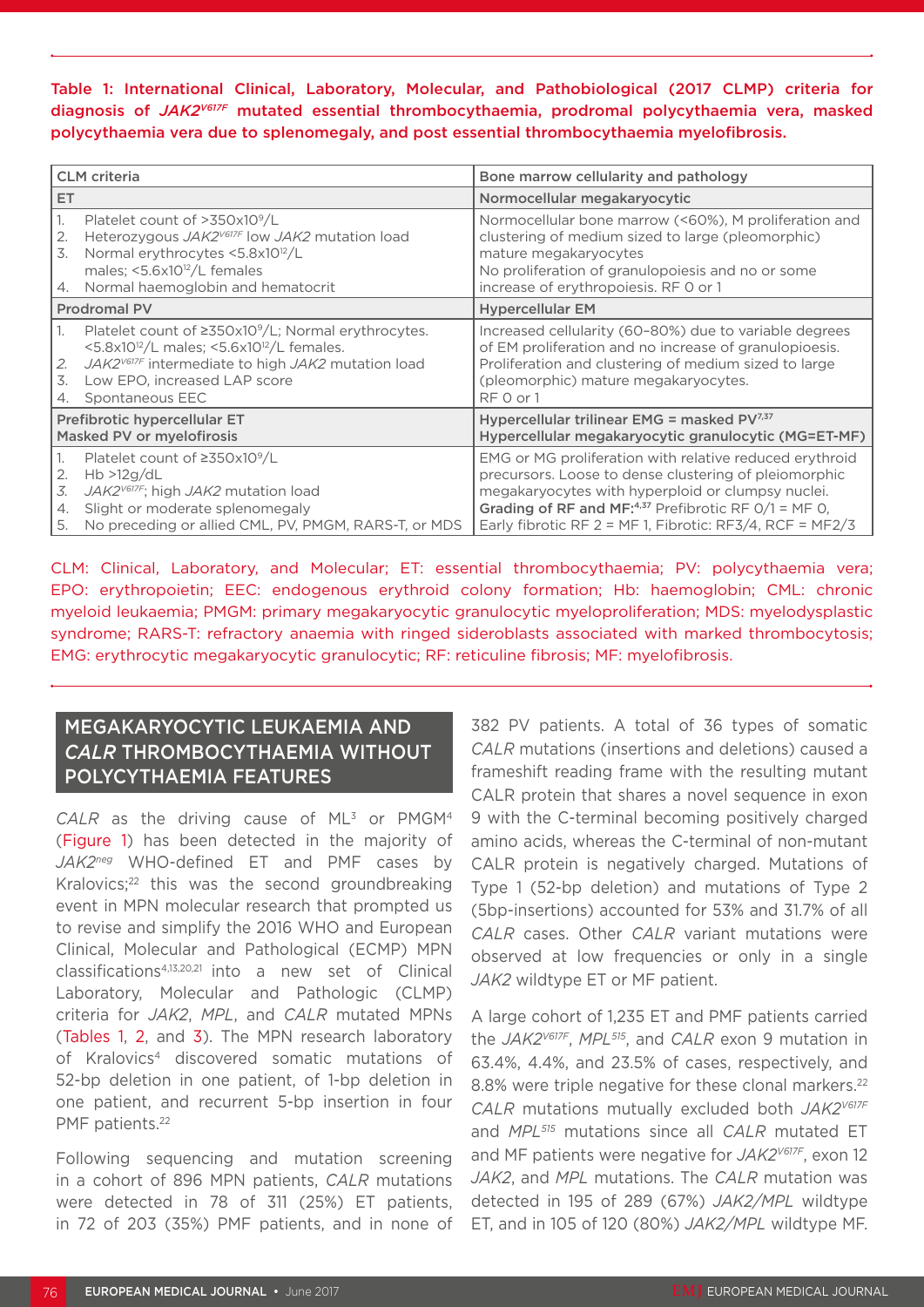Table 1: International Clinical, Laboratory, Molecular, and Pathobiological (2017 CLMP) criteria for diagnosis of *JAK2V617F* mutated essential thrombocythaemia, prodromal polycythaemia vera, masked polycythaemia vera due to splenomegaly, and post essential thrombocythaemia myelofibrosis.

| <b>CLM</b> criteria                                                                                                                                                                                                                                           | Bone marrow cellularity and pathology                                                                                                                                                                                                                                                           |
|---------------------------------------------------------------------------------------------------------------------------------------------------------------------------------------------------------------------------------------------------------------|-------------------------------------------------------------------------------------------------------------------------------------------------------------------------------------------------------------------------------------------------------------------------------------------------|
| ET.                                                                                                                                                                                                                                                           | Normocellular megakaryocytic                                                                                                                                                                                                                                                                    |
| Platelet count of $>350x10^9/L$<br>Heterozygous JAK2 <sup>V617F</sup> low JAK2 mutation load<br>2.<br>Normal erythrocytes <5.8x10 <sup>12</sup> /L<br>3.<br>males; $\leq 5.6 \times 10^{12}/L$ females<br>Normal haemoglobin and hematocrit<br>4.             | Normocellular bone marrow (<60%), M proliferation and<br>clustering of medium sized to large (pleomorphic)<br>mature megakaryocytes<br>No proliferation of granulopoiesis and no or some<br>increase of erythropoiesis. RF 0 or 1                                                               |
| Prodromal PV                                                                                                                                                                                                                                                  | <b>Hypercellular EM</b>                                                                                                                                                                                                                                                                         |
| Platelet count of $\geq 350x10^9/L$ ; Normal erythrocytes.<br>1.<br><5.8x10 $^{12}/L$ males; <5.6x10 $^{12}/L$ females.<br>JAK2 <sup>V617F</sup> intermediate to high JAK2 mutation load<br>2.<br>3.<br>Low EPO, increased LAP score<br>Spontaneous EEC<br>4. | Increased cellularity (60-80%) due to variable degrees<br>of EM proliferation and no increase of granulopioesis.<br>Proliferation and clustering of medium sized to large<br>(pleomorphic) mature megakaryocytes.<br>RF 0 or 1                                                                  |
| Prefibrotic hypercellular ET<br><b>Masked PV or myelofirosis</b>                                                                                                                                                                                              | Hypercellular trilinear EMG = masked $PV^{7,37}$<br>Hypercellular megakaryocytic granulocytic (MG=ET-MF)                                                                                                                                                                                        |
| Platelet count of $\geq$ 350x10 <sup>9</sup> /L<br>Hb > 12g/dL<br>2.<br>JAK2V617F; high JAK2 mutation load<br>3.<br>Slight or moderate splenomegaly<br>4.<br>No preceding or allied CML, PV, PMGM, RARS-T, or MDS<br>5.                                       | EMG or MG proliferation with relative reduced erythroid<br>precursors. Loose to dense clustering of pleiomorphic<br>megakaryocytes with hyperploid or clumpsy nuclei.<br>Grading of RF and MF:4,37 Prefibrotic RF $O/1 = MF O$ ,<br>Early fibrotic RF $2 = MF 1$ , Fibrotic: RF3/4, RCF = MF2/3 |

CLM: Clinical, Laboratory, and Molecular; ET: essential thrombocythaemia; PV: polycythaemia vera; EPO: erythropoietin; EEC: endogenous erythroid colony formation; Hb: haemoglobin; CML: chronic myeloid leukaemia; PMGM: primary megakaryocytic granulocytic myeloproliferation; MDS: myelodysplastic syndrome; RARS-T: refractory anaemia with ringed sideroblasts associated with marked thrombocytosis; EMG: erythrocytic megakaryocytic granulocytic; RF: reticuline fibrosis; MF: myelofibrosis.

#### MEGAKARYOCYTIC LEUKAEMIA AND *CALR* THROMBOCYTHAEMIA WITHOUT POLYCYTHAEMIA FEATURES

CALR as the driving cause of ML<sup>3</sup> or PMGM<sup>4</sup> (Figure 1) has been detected in the majority of *JAK2neg* WHO-defined ET and PMF cases by Kralovics;<sup>22</sup> this was the second groundbreaking event in MPN molecular research that prompted us to revise and simplify the 2016 WHO and European Clinical, Molecular and Pathological (ECMP) MPN classifications4,13,20,21 into a new set of Clinical Laboratory, Molecular and Pathologic (CLMP) criteria for *JAK2*, *MPL*, and *CALR* mutated MPNs (Tables 1, 2, and 3). The MPN research laboratory of Kralovics4 discovered somatic mutations of 52-bp deletion in one patient, of 1-bp deletion in one patient, and recurrent 5-bp insertion in four PMF patients.<sup>22</sup>

Following sequencing and mutation screening in a cohort of 896 MPN patients, *CALR* mutations were detected in 78 of 311 (25%) ET patients, in 72 of 203 (35%) PMF patients, and in none of

382 PV patients. A total of 36 types of somatic *CALR* mutations (insertions and deletions) caused a frameshift reading frame with the resulting mutant CALR protein that shares a novel sequence in exon 9 with the C-terminal becoming positively charged amino acids, whereas the C-terminal of non-mutant CALR protein is negatively charged. Mutations of Type 1 (52-bp deletion) and mutations of Type 2 (5bp-insertions) accounted for 53% and 31.7% of all *CALR* cases. Other *CALR* variant mutations were observed at low frequencies or only in a single *JAK2* wildtype ET or MF patient.

A large cohort of 1,235 ET and PMF patients carried the *JAK2V617F*, *MPL515*, and *CALR* exon 9 mutation in 63.4%, 4.4%, and 23.5% of cases, respectively, and 8.8% were triple negative for these clonal markers.<sup>22</sup> *CALR* mutations mutually excluded both *JAK2V617F* and *MPL515* mutations since all *CALR* mutated ET and MF patients were negative for *JAK2V617F*, exon 12 *JAK2*, and *MPL* mutations. The *CALR* mutation was detected in 195 of 289 (67%) *JAK2/MPL* wildtype ET, and in 105 of 120 (80%) *JAK2/MPL* wildtype MF.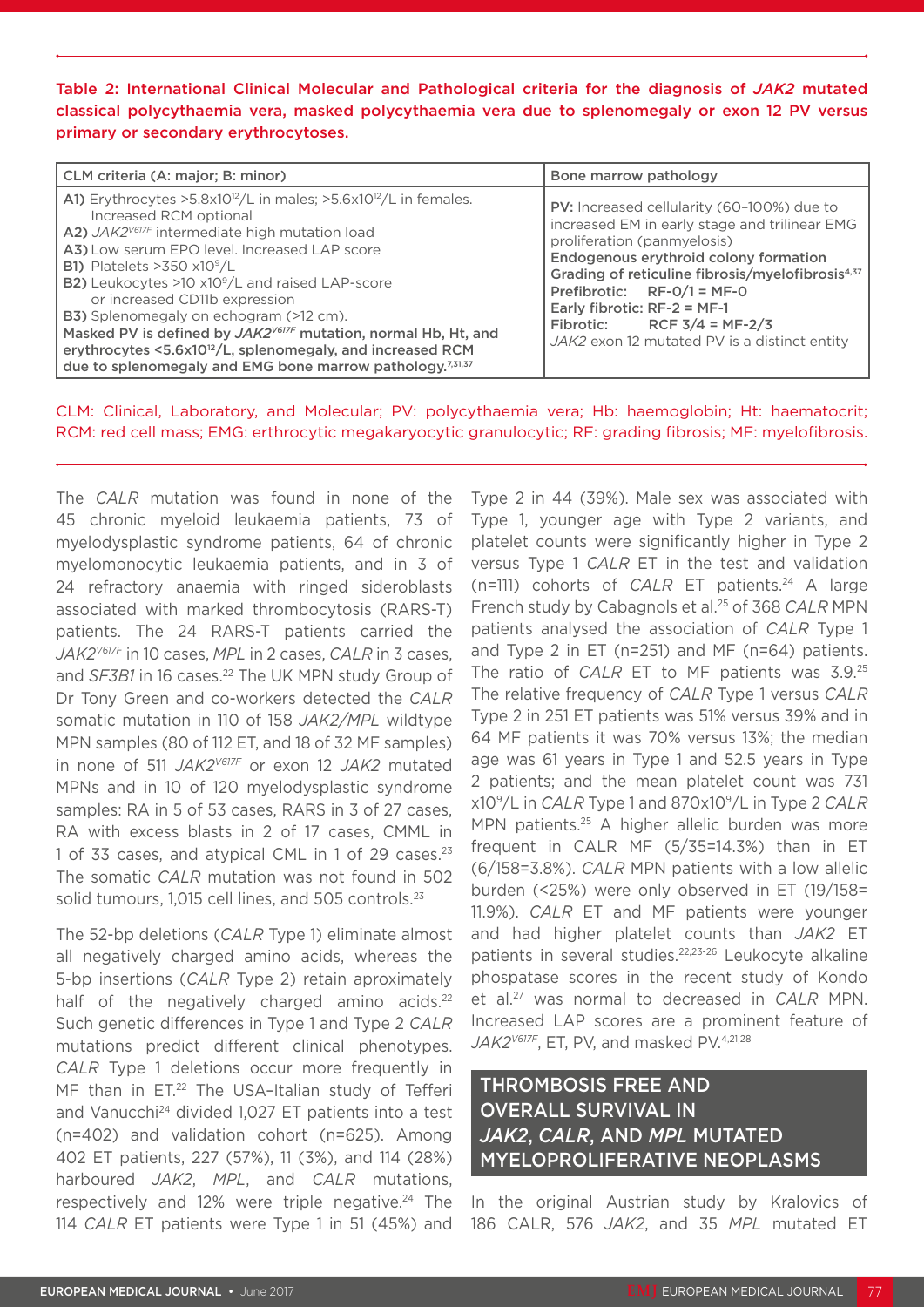Table 2: International Clinical Molecular and Pathological criteria for the diagnosis of *JAK2* mutated classical polycythaemia vera, masked polycythaemia vera due to splenomegaly or exon 12 PV versus primary or secondary erythrocytoses.

| CLM criteria (A: major; B: minor)                                                                                                                                                                                                                                                                                                                                                                                                                                                                                                                                                                                                                                          | Bone marrow pathology                                                                                                                                                                                                                                                                                                                                                                   |
|----------------------------------------------------------------------------------------------------------------------------------------------------------------------------------------------------------------------------------------------------------------------------------------------------------------------------------------------------------------------------------------------------------------------------------------------------------------------------------------------------------------------------------------------------------------------------------------------------------------------------------------------------------------------------|-----------------------------------------------------------------------------------------------------------------------------------------------------------------------------------------------------------------------------------------------------------------------------------------------------------------------------------------------------------------------------------------|
| A1) Erythrocytes >5.8x10 <sup>12</sup> /L in males; >5.6x10 <sup>12</sup> /L in females.<br>Increased RCM optional<br>A2) JAK2 <sup>V617F</sup> intermediate high mutation load<br>A3) Low serum EPO level. Increased LAP score<br><b>B1)</b> Platelets >350 $\times$ 10 <sup>9</sup> /L<br>B2) Leukocytes >10 x10 <sup>9</sup> /L and raised LAP-score<br>or increased CD11b expression<br><b>B3)</b> Splenomegaly on echogram (>12 cm).<br>Masked PV is defined by JAK2 <sup>V617F</sup> mutation, normal Hb, Ht, and<br>erythrocytes <5.6x10 <sup>12</sup> /L, splenomegaly, and increased RCM<br>due to splenomegaly and EMG bone marrow pathology. <sup>7,31,37</sup> | PV: Increased cellularity (60-100%) due to<br>increased EM in early stage and trilinear EMG<br>proliferation (panmyelosis)<br>Endogenous erythroid colony formation<br>Grading of reticuline fibrosis/myelofibrosis <sup>4,37</sup><br>Prefibrotic: $RF-O/1 = MF-O$<br>Early fibrotic: $RF-2 = MF-1$<br>RCF $3/4$ = MF-2/3<br>Fibrotic:<br>JAK2 exon 12 mutated PV is a distinct entity |

CLM: Clinical, Laboratory, and Molecular; PV: polycythaemia vera; Hb: haemoglobin; Ht: haematocrit; RCM: red cell mass; EMG: erthrocytic megakaryocytic granulocytic; RF: grading fibrosis; MF: myelofibrosis.

The *CALR* mutation was found in none of the 45 chronic myeloid leukaemia patients, 73 of myelodysplastic syndrome patients, 64 of chronic myelomonocytic leukaemia patients, and in 3 of 24 refractory anaemia with ringed sideroblasts associated with marked thrombocytosis (RARS-T) patients. The 24 RARS-T patients carried the *JAK2V617F* in 10 cases, *MPL* in 2 cases, *CALR* in 3 cases, and *SF3B1* in 16 cases.<sup>22</sup> The UK MPN study Group of Dr Tony Green and co-workers detected the *CALR* somatic mutation in 110 of 158 *JAK2/MPL* wildtype MPN samples (80 of 112 ET, and 18 of 32 MF samples) in none of 511 *JAK2V617F* or exon 12 *JAK2* mutated MPNs and in 10 of 120 myelodysplastic syndrome samples: RA in 5 of 53 cases, RARS in 3 of 27 cases, RA with excess blasts in 2 of 17 cases, CMML in 1 of 33 cases, and atypical CML in 1 of 29 cases.23 The somatic *CALR* mutation was not found in 502 solid tumours, 1,015 cell lines, and 505 controls.<sup>23</sup>

The 52-bp deletions (*CALR* Type 1) eliminate almost all negatively charged amino acids, whereas the 5-bp insertions (*CALR* Type 2) retain aproximately half of the negatively charged amino acids.<sup>22</sup> Such genetic differences in Type 1 and Type 2 *CALR* mutations predict different clinical phenotypes. *CALR* Type 1 deletions occur more frequently in MF than in ET.<sup>22</sup> The USA-Italian study of Tefferi and Vanucchi<sup>24</sup> divided 1,027 ET patients into a test (n=402) and validation cohort (n=625). Among 402 ET patients, 227 (57%), 11 (3%), and 114 (28%) harboured *JAK2*, *MPL*, and *CALR* mutations, respectively and 12% were triple negative.<sup>24</sup> The 114 *CALR* ET patients were Type 1 in 51 (45%) and

Type 2 in 44 (39%). Male sex was associated with Type 1, younger age with Type 2 variants, and platelet counts were significantly higher in Type 2 versus Type 1 *CALR* ET in the test and validation (n=111) cohorts of *CALR* ET patients.24 A large French study by Cabagnols et al.25 of 368 *CALR* MPN patients analysed the association of *CALR* Type 1 and Type 2 in ET (n=251) and MF (n=64) patients. The ratio of *CALR* ET to MF patients was 3.9.25 The relative frequency of *CALR* Type 1 versus *CALR* Type 2 in 251 ET patients was 51% versus 39% and in 64 MF patients it was 70% versus 13%; the median age was 61 years in Type 1 and 52.5 years in Type 2 patients; and the mean platelet count was 731 x109/L in *CALR* Type 1 and 870x109/L in Type 2 *CALR* MPN patients.<sup>25</sup> A higher allelic burden was more frequent in CALR MF (5/35=14.3%) than in ET (6/158=3.8%). *CALR* MPN patients with a low allelic burden (<25%) were only observed in ET (19/158= 11.9%). *CALR* ET and MF patients were younger and had higher platelet counts than *JAK2* ET patients in several studies.<sup>22,23-26</sup> Leukocyte alkaline phospatase scores in the recent study of Kondo et al.27 was normal to decreased in *CALR* MPN. Increased LAP scores are a prominent feature of JAK2<sup>V617F</sup>, ET, PV, and masked PV.<sup>4,21,28</sup>

### THROMBOSIS FREE AND OVERALL SURVIVAL IN *JAK2*, *CALR*, AND *MPL* MUTATED MYELOPROLIFERATIVE NEOPLASMS

In the original Austrian study by Kralovics of 186 CALR, 576 *JAK2*, and 35 *MPL* mutated ET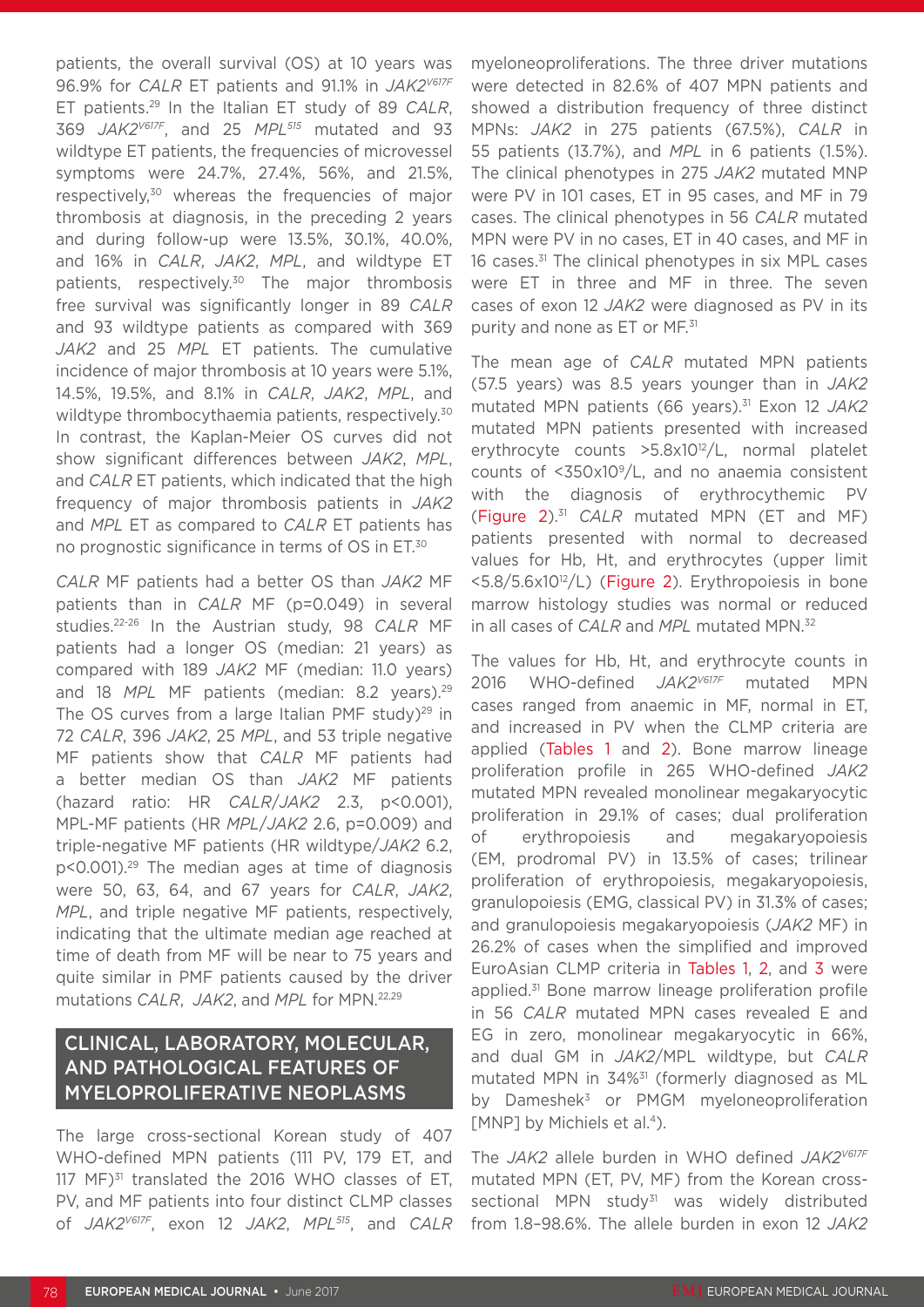patients, the overall survival (OS) at 10 years was 96.9% for *CALR* ET patients and 91.1% in *JAK2V617F* ET patients.29 In the Italian ET study of 89 *CALR*, 369 *JAK2V617F*, and 25 *MPL515* mutated and 93 wildtype ET patients, the frequencies of microvessel symptoms were 24.7%, 27.4%, 56%, and 21.5%, respectively,<sup>30</sup> whereas the frequencies of major thrombosis at diagnosis, in the preceding 2 years and during follow-up were 13.5%, 30.1%, 40.0%, and 16% in *CALR*, *JAK2*, *MPL*, and wildtype ET patients, respectively.30 The major thrombosis free survival was significantly longer in 89 *CALR* and 93 wildtype patients as compared with 369 *JAK2* and 25 *MPL* ET patients. The cumulative incidence of major thrombosis at 10 years were 5.1%, 14.5%, 19.5%, and 8.1% in *CALR*, *JAK2*, *MPL*, and wildtype thrombocythaemia patients, respectively.<sup>30</sup> In contrast, the Kaplan-Meier OS curves did not show significant differences between *JAK2*, *MPL*, and *CALR* ET patients, which indicated that the high frequency of major thrombosis patients in *JAK2* and *MPL* ET as compared to *CALR* ET patients has no prognostic significance in terms of OS in ET.30

*CALR* MF patients had a better OS than *JAK2* MF patients than in *CALR* MF (p=0.049) in several studies.22-26 In the Austrian study, 98 *CALR* MF patients had a longer OS (median: 21 years) as compared with 189 *JAK2* MF (median: 11.0 years) and 18 MPL MF patients (median: 8.2 years).<sup>29</sup> The OS curves from a large Italian PMF study) $^{29}$  in 72 *CALR*, 396 *JAK2*, 25 *MPL*, and 53 triple negative MF patients show that *CALR* MF patients had a better median OS than *JAK2* MF patients (hazard ratio: HR *CALR*/*JAK2* 2.3, p<0.001), MPL-MF patients (HR *MPL*/*JAK2* 2.6, p=0.009) and triple-negative MF patients (HR wildtype/*JAK2* 6.2, p<0.001).29 The median ages at time of diagnosis were 50, 63, 64, and 67 years for *CALR*, *JAK2*, *MPL*, and triple negative MF patients, respectively, indicating that the ultimate median age reached at time of death from MF will be near to 75 years and quite similar in PMF patients caused by the driver mutations *CALR*, *JAK2*, and *MPL* for MPN.22,29

### CLINICAL, LABORATORY, MOLECULAR, AND PATHOLOGICAL FEATURES OF MYELOPROLIFERATIVE NEOPLASMS

The large cross-sectional Korean study of 407 WHO-defined MPN patients (111 PV, 179 ET, and 117 MF)<sup>31</sup> translated the 2016 WHO classes of ET, PV, and MF patients into four distinct CLMP classes of *JAK2V617F*, exon 12 *JAK2*, *MPL515*, and *CALR* myeloneoproliferations. The three driver mutations were detected in 82.6% of 407 MPN patients and showed a distribution frequency of three distinct MPNs: *JAK2* in 275 patients (67.5%), *CALR* in 55 patients (13.7%), and *MPL* in 6 patients (1.5%). The clinical phenotypes in 275 *JAK2* mutated MNP were PV in 101 cases, ET in 95 cases, and MF in 79 cases. The clinical phenotypes in 56 *CALR* mutated MPN were PV in no cases, ET in 40 cases, and MF in 16 cases.<sup>31</sup> The clinical phenotypes in six MPL cases were ET in three and MF in three. The seven cases of exon 12 *JAK2* were diagnosed as PV in its purity and none as ET or MF.<sup>31</sup>

The mean age of *CALR* mutated MPN patients (57.5 years) was 8.5 years younger than in *JAK2* mutated MPN patients (66 years).31 Exon 12 *JAK2* mutated MPN patients presented with increased erythrocyte counts >5.8x1012/L, normal platelet counts of  $<350x10^9/L$ , and no anaemia consistent with the diagnosis of erythrocythemic PV (Figure 2).31 *CALR* mutated MPN (ET and MF) patients presented with normal to decreased values for Hb, Ht, and erythrocytes (upper limit <5.8/5.6x10<sup>12</sup>/L) (Figure 2). Erythropoiesis in bone marrow histology studies was normal or reduced in all cases of *CALR* and *MPL* mutated MPN.32

The values for Hb, Ht, and erythrocyte counts in 2016 WHO-defined *JAK2V617F* mutated MPN cases ranged from anaemic in MF, normal in ET, and increased in PV when the CLMP criteria are applied (Tables 1 and 2). Bone marrow lineage proliferation profile in 265 WHO-defined *JAK2* mutated MPN revealed monolinear megakaryocytic proliferation in 29.1% of cases; dual proliferation of erythropoiesis and megakaryopoiesis (EM, prodromal PV) in 13.5% of cases; trilinear proliferation of erythropoiesis, megakaryopoiesis, granulopoiesis (EMG, classical PV) in 31.3% of cases; and granulopoiesis megakaryopoiesis (*JAK2* MF) in 26.2% of cases when the simplified and improved EuroAsian CLMP criteria in Tables 1, 2, and 3 were applied.31 Bone marrow lineage proliferation profile in 56 *CALR* mutated MPN cases revealed E and EG in zero, monolinear megakaryocytic in 66%, and dual GM in *JAK2*/MPL wildtype, but *CALR* mutated MPN in 34%31 (formerly diagnosed as ML by Dameshek<sup>3</sup> or PMGM myeloneoproliferation [MNP] by Michiels et al.<sup>4</sup>).

The *JAK2* allele burden in WHO defined *JAK2V617F* mutated MPN (ET, PV, MF) from the Korean crosssectional MPN study<sup>31</sup> was widely distributed from 1.8–98.6%. The allele burden in exon 12 *JAK2*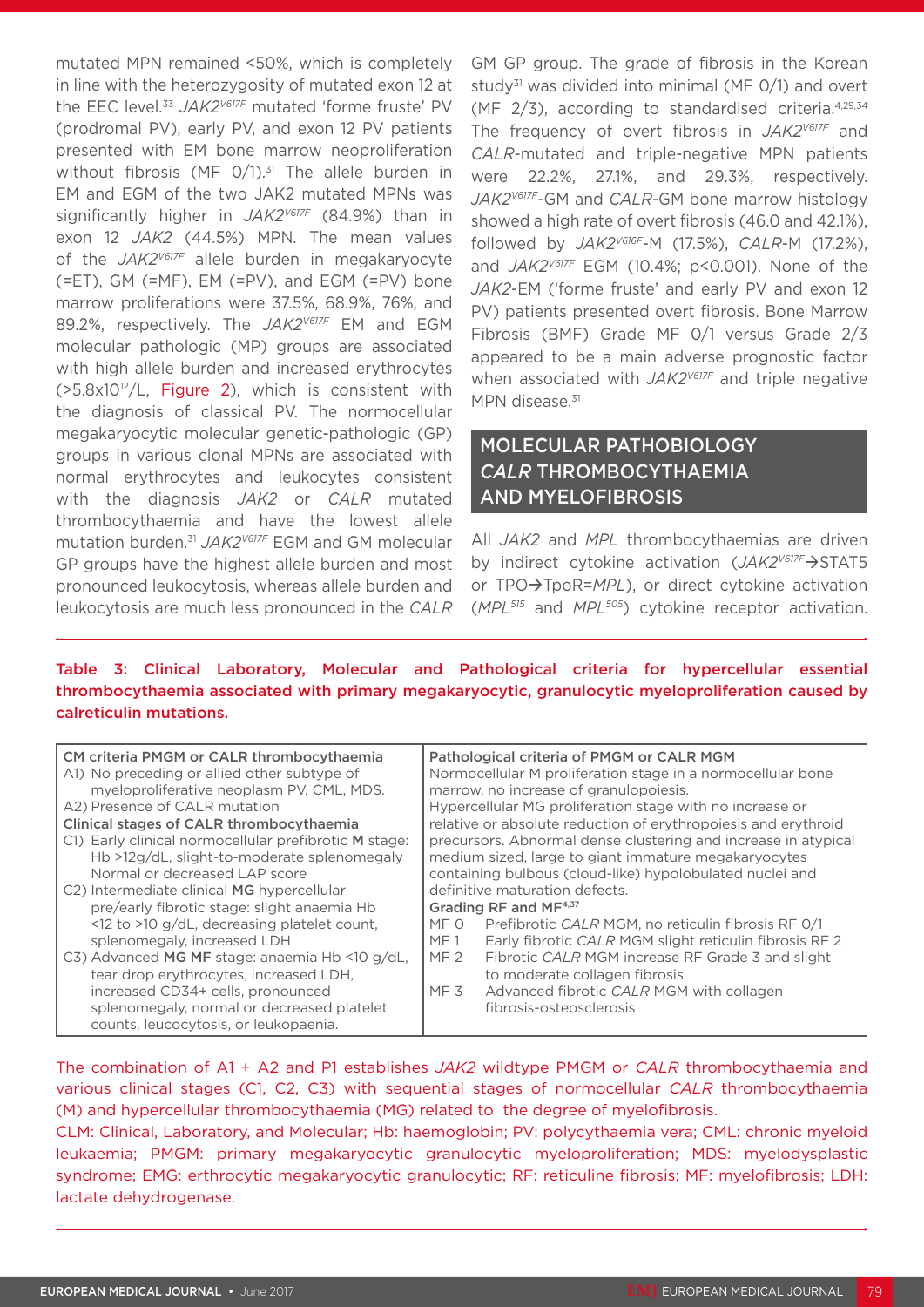mutated MPN remained <50%, which is completely in line with the heterozygosity of mutated exon 12 at the EEC level.33 *JAK2V617F* mutated 'forme fruste' PV (prodromal PV), early PV, and exon 12 PV patients presented with EM bone marrow neoproliferation without fibrosis (MF  $O/1$ ).<sup>31</sup> The allele burden in EM and EGM of the two JAK2 mutated MPNs was significantly higher in *JAK2V617F* (84.9%) than in exon 12 *JAK2* (44.5%) MPN. The mean values of the *JAK2V617F* allele burden in megakaryocyte (=ET), GM (=MF), EM (=PV), and EGM (=PV) bone marrow proliferations were 37.5%, 68.9%, 76%, and 89.2%, respectively. The *JAK2V617F* EM and EGM molecular pathologic (MP) groups are associated with high allele burden and increased erythrocytes  $(5.8x10^{12}/L,$  Figure 2), which is consistent with the diagnosis of classical PV. The normocellular megakaryocytic molecular genetic-pathologic (GP) groups in various clonal MPNs are associated with normal erythrocytes and leukocytes consistent with the diagnosis *JAK2* or *CALR* mutated thrombocythaemia and have the lowest allele mutation burden.31 *JAK2V617F* EGM and GM molecular GP groups have the highest allele burden and most pronounced leukocytosis, whereas allele burden and leukocytosis are much less pronounced in the *CALR* GM GP group. The grade of fibrosis in the Korean study<sup>31</sup> was divided into minimal (MF  $O(1)$ ) and overt (MF 2/3), according to standardised criteria.4,29,34 The frequency of overt fibrosis in *JAK2V617F* and *CALR*-mutated and triple-negative MPN patients were 22.2%, 27.1%, and 29.3%, respectively. *JAK2V617F*-GM and *CALR*-GM bone marrow histology showed a high rate of overt fibrosis (46.0 and 42.1%), followed by *JAK2V616F*-M (17.5%), *CALR*-M (17.2%), and *JAK2V617F* EGM (10.4%; p<0.001). None of the *JAK2*-EM ('forme fruste' and early PV and exon 12 PV) patients presented overt fibrosis. Bone Marrow Fibrosis (BMF) Grade MF 0/1 versus Grade 2/3 appeared to be a main adverse prognostic factor when associated with *JAK2V617F* and triple negative MPN disease.<sup>31</sup>

### MOLECULAR PATHOBIOLOGY *CALR* THROMBOCYTHAEMIA AND MYELOFIBROSIS

All *JAK2* and *MPL* thrombocythaemias are driven by indirect cytokine activation (*JAK2<sup>V617F</sup>*)STAT5 or TPO->TpoR=MPL), or direct cytokine activation (*MPL515* and *MPL505*) cytokine receptor activation.

#### Table 3: Clinical Laboratory, Molecular and Pathological criteria for hypercellular essential thrombocythaemia associated with primary megakaryocytic, granulocytic myeloproliferation caused by calreticulin mutations.

| CM criteria PMGM or CALR thrombocythaemia<br>A1) No preceding or allied other subtype of<br>myeloproliferative neoplasm PV, CML, MDS.<br>A2) Presence of CALR mutation<br>Clinical stages of CALR thrombocythaemia |                                                                | Pathological criteria of PMGM or CALR MGM<br>Normocellular M proliferation stage in a normocellular bone<br>marrow, no increase of granulopoiesis.<br>Hypercellular MG proliferation stage with no increase or<br>relative or absolute reduction of erythropoiesis and erythroid |
|--------------------------------------------------------------------------------------------------------------------------------------------------------------------------------------------------------------------|----------------------------------------------------------------|----------------------------------------------------------------------------------------------------------------------------------------------------------------------------------------------------------------------------------------------------------------------------------|
| C1) Early clinical normocellular prefibrotic M stage:                                                                                                                                                              | precursors. Abnormal dense clustering and increase in atypical |                                                                                                                                                                                                                                                                                  |
| Hb >12g/dL, slight-to-moderate splenomegaly                                                                                                                                                                        | medium sized, large to giant immature megakaryocytes           |                                                                                                                                                                                                                                                                                  |
| Normal or decreased LAP score                                                                                                                                                                                      |                                                                | containing bulbous (cloud-like) hypolobulated nuclei and                                                                                                                                                                                                                         |
| C2) Intermediate clinical MG hypercellular                                                                                                                                                                         | definitive maturation defects.                                 |                                                                                                                                                                                                                                                                                  |
| pre/early fibrotic stage: slight anaemia Hb                                                                                                                                                                        | Grading RF and MF <sup>4,37</sup>                              |                                                                                                                                                                                                                                                                                  |
| $\le$ 12 to >10 g/dL, decreasing platelet count,                                                                                                                                                                   | MF 0                                                           | Prefibrotic CALR MGM, no reticulin fibrosis RF 0/1                                                                                                                                                                                                                               |
| splenomegaly, increased LDH                                                                                                                                                                                        | MF1                                                            | Early fibrotic CALR MGM slight reticulin fibrosis RF 2                                                                                                                                                                                                                           |
| C3) Advanced MG MF stage: anaemia Hb <10 g/dL,                                                                                                                                                                     | MF <sub>2</sub>                                                | Fibrotic CALR MGM increase RF Grade 3 and slight                                                                                                                                                                                                                                 |
| tear drop erythrocytes, increased LDH,                                                                                                                                                                             |                                                                | to moderate collagen fibrosis                                                                                                                                                                                                                                                    |
| increased CD34+ cells, pronounced                                                                                                                                                                                  | MF <sub>3</sub>                                                | Advanced fibrotic CALR MGM with collagen                                                                                                                                                                                                                                         |
| splenomegaly, normal or decreased platelet                                                                                                                                                                         |                                                                | fibrosis-osteosclerosis                                                                                                                                                                                                                                                          |
| counts, leucocytosis, or leukopaenia.                                                                                                                                                                              |                                                                |                                                                                                                                                                                                                                                                                  |

The combination of A1 + A2 and P1 establishes *JAK2* wildtype PMGM or *CALR* thrombocythaemia and various clinical stages (C1, C2, C3) with sequential stages of normocellular *CALR* thrombocythaemia (M) and hypercellular thrombocythaemia (MG) related to the degree of myelofibrosis.

CLM: Clinical, Laboratory, and Molecular; Hb: haemoglobin; PV: polycythaemia vera; CML: chronic myeloid leukaemia; PMGM: primary megakaryocytic granulocytic myeloproliferation; MDS: myelodysplastic syndrome; EMG: erthrocytic megakaryocytic granulocytic; RF: reticuline fibrosis; MF: myelofibrosis; LDH: lactate dehydrogenase.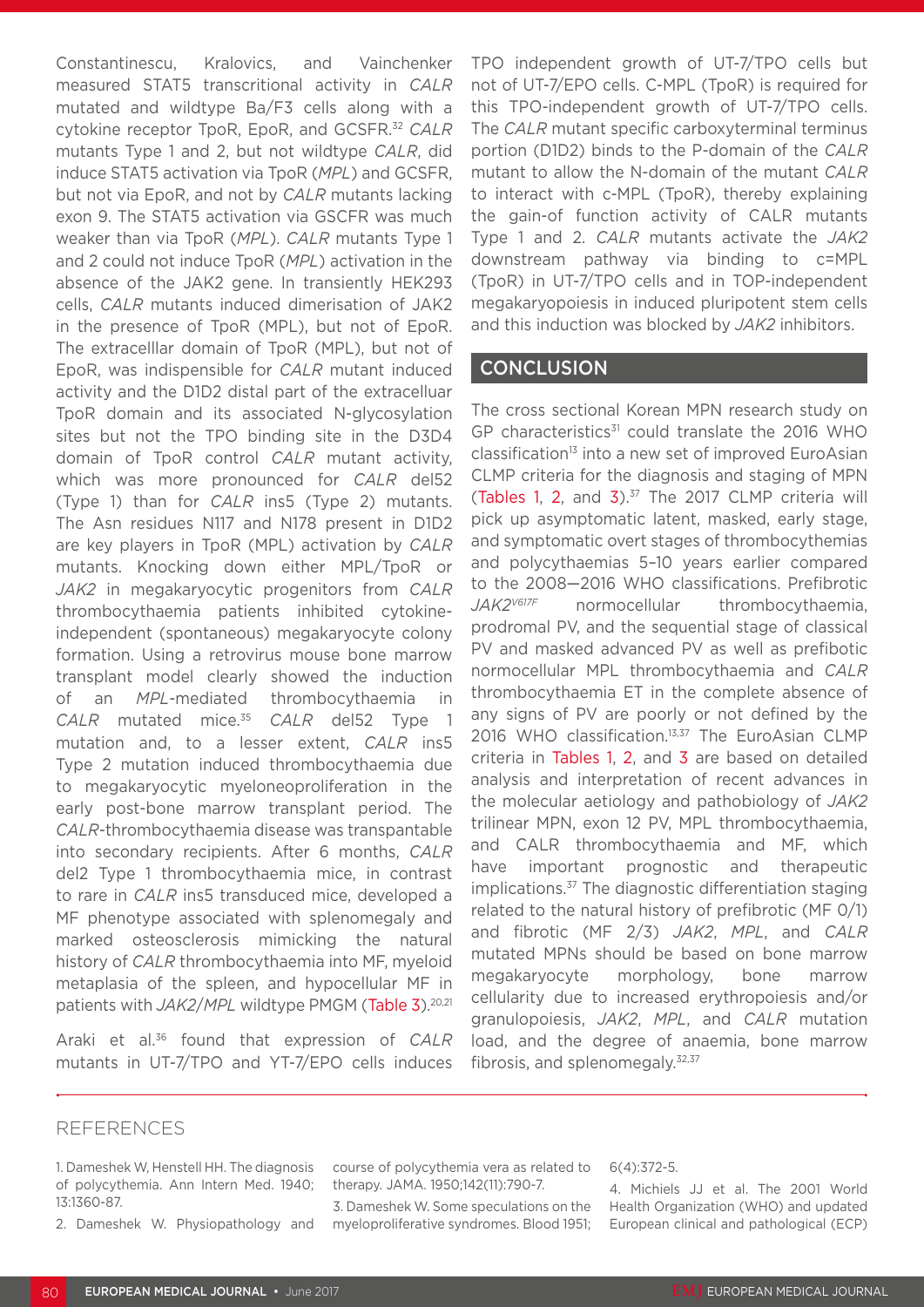Constantinescu, Kralovics, and Vainchenker measured STAT5 transcritional activity in *CALR*  mutated and wildtype Ba/F3 cells along with a cytokine receptor TpoR, EpoR, and GCSFR.32 *CALR* mutants Type 1 and 2, but not wildtype *CALR*, did induce STAT5 activation via TpoR (*MPL*) and GCSFR, but not via EpoR, and not by *CALR* mutants lacking exon 9. The STAT5 activation via GSCFR was much weaker than via TpoR (*MPL*). *CALR* mutants Type 1 and 2 could not induce TpoR (*MPL*) activation in the absence of the JAK2 gene. In transiently HEK293 cells, *CALR* mutants induced dimerisation of JAK2 in the presence of TpoR (MPL), but not of EpoR. The extracelllar domain of TpoR (MPL), but not of EpoR, was indispensible for *CALR* mutant induced activity and the D1D2 distal part of the extracelluar TpoR domain and its associated N-glycosylation sites but not the TPO binding site in the D3D4 domain of TpoR control *CALR* mutant activity, which was more pronounced for *CALR* del52 (Type 1) than for *CALR* ins5 (Type 2) mutants. The Asn residues N117 and N178 present in D1D2 are key players in TpoR (MPL) activation by *CALR* mutants. Knocking down either MPL/TpoR or *JAK2* in megakaryocytic progenitors from *CALR* thrombocythaemia patients inhibited cytokineindependent (spontaneous) megakaryocyte colony formation. Using a retrovirus mouse bone marrow transplant model clearly showed the induction of an *MPL*-mediated thrombocythaemia in *CALR* mutated mice.35 *CALR* del52 Type 1 mutation and, to a lesser extent, *CALR* ins5 Type 2 mutation induced thrombocythaemia due to megakaryocytic myeloneoproliferation in the early post-bone marrow transplant period. The *CALR*-thrombocythaemia disease was transpantable into secondary recipients. After 6 months, *CALR* del2 Type 1 thrombocythaemia mice, in contrast to rare in *CALR* ins5 transduced mice, developed a MF phenotype associated with splenomegaly and marked osteosclerosis mimicking the natural history of *CALR* thrombocythaemia into MF, myeloid metaplasia of the spleen, and hypocellular MF in patients with *JAK2/MPL* wildtype PMGM (Table 3).<sup>20,21</sup>

Araki et al.36 found that expression of *CALR* mutants in UT-7/TPO and YT-7/EPO cells induces TPO independent growth of UT-7/TPO cells but not of UT-7/EPO cells. C-MPL (TpoR) is required for this TPO-independent growth of UT-7/TPO cells. The *CALR* mutant specific carboxyterminal terminus portion (D1D2) binds to the P-domain of the *CALR* mutant to allow the N-domain of the mutant *CALR* to interact with c-MPL (TpoR), thereby explaining the gain-of function activity of CALR mutants Type 1 and 2. *CALR* mutants activate the *JAK2* downstream pathway via binding to c=MPL (TpoR) in UT-7/TPO cells and in TOP-independent megakaryopoiesis in induced pluripotent stem cells and this induction was blocked by *JAK2* inhibitors.

#### **CONCLUSION**

The cross sectional Korean MPN research study on GP characteristics<sup>31</sup> could translate the 2016 WHO classification<sup>13</sup> into a new set of improved EuroAsian CLMP criteria for the diagnosis and staging of MPN (Tables 1, 2, and  $3$ ).<sup>37</sup> The 2017 CLMP criteria will pick up asymptomatic latent, masked, early stage, and symptomatic overt stages of thrombocythemias and polycythaemias 5–10 years earlier compared to the 2008—2016 WHO classifications. Prefibrotic *JAK2V617F* normocellular thrombocythaemia, prodromal PV, and the sequential stage of classical PV and masked advanced PV as well as prefibotic normocellular MPL thrombocythaemia and *CALR* thrombocythaemia ET in the complete absence of any signs of PV are poorly or not defined by the 2016 WHO classification.13,37 The EuroAsian CLMP criteria in Tables 1, 2, and 3 are based on detailed analysis and interpretation of recent advances in the molecular aetiology and pathobiology of *JAK2* trilinear MPN, exon 12 PV, MPL thrombocythaemia, and CALR thrombocythaemia and MF, which have important prognostic and therapeutic implications.37 The diagnostic differentiation staging related to the natural history of prefibrotic (MF 0/1) and fibrotic (MF 2/3) *JAK2*, *MPL*, and *CALR* mutated MPNs should be based on bone marrow megakaryocyte morphology, bone marrow cellularity due to increased erythropoiesis and/or granulopoiesis, *JAK2*, *MPL*, and *CALR* mutation load, and the degree of anaemia, bone marrow fibrosis, and splenomegaly. $32,37$ 

#### REFERENCES

- 1. Dameshek W, Henstell HH. The diagnosis of polycythemia. Ann Intern Med. 1940; 13:1360-87.
- 2. Dameshek W. Physiopathology and

course of polycythemia vera as related to therapy. JAMA. 1950;142(11):790-7.

3. Dameshek W. Some speculations on the myeloproliferative syndromes. Blood 1951;

#### 6(4):372-5.

4. Michiels JJ et al. The 2001 World Health Organization (WHO) and updated European clinical and pathological (ECP)